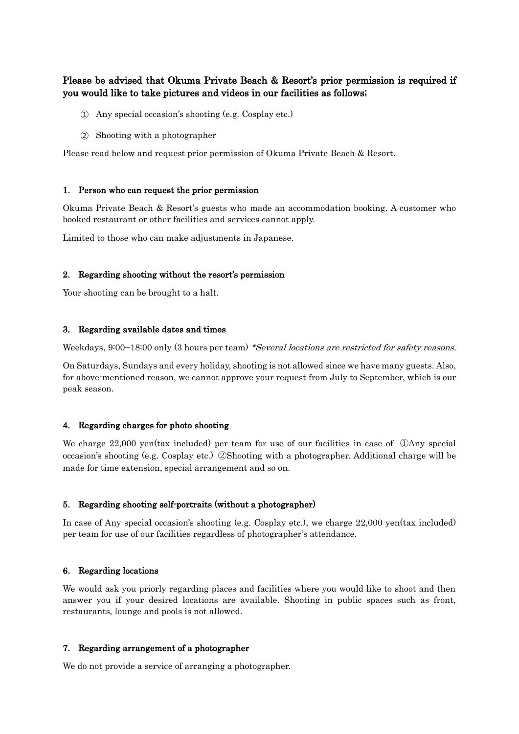# Please be advised that Okuma Private Beach & Resort's prior permission is required if you would like to take pictures and videos in our facilities as follows;

- ① Any special occasion's shooting (e.g. Cosplay etc.)
- ② Shooting with a photographer

Please read below and request prior permission of Okuma Private Beach & Resort.

### 1. Person who can request the prior permission

Okuma Private Beach & Resort's guests who made an accommodation booking. A customer who booked restaurant or other facilities and services cannot apply.

Limited to those who can make adjustments in Japanese.

### 2. Regarding shooting without the resort's permission

Your shooting can be brought to a halt.

### 3. Regarding available dates and times

Weekdays, 9:00~18:00 only (3 hours per team) \*Several locations are restricted for safety reasons.

On Saturdays, Sundays and every holiday, shooting is not allowed since we have many guests. Also, for above-mentioned reason, we cannot approve your request from July to September, which is our peak season.

#### 4. Regarding charges for photo shooting

We charge 22,000 yen(tax included) per team for use of our facilities in case of  $\Box$ Any special occasion's shooting (e.g. Cosplay etc.) ②Shooting with a photographer. Additional charge will be made for time extension, special arrangement and so on.

#### 5. Regarding shooting self-portraits (without a photographer)

In case of Any special occasion's shooting (e.g. Cosplay etc.), we charge 22,000 yen(tax included) per team for use of our facilities regardless of photographer's attendance.

# 6. Regarding locations

We would ask you priorly regarding places and facilities where you would like to shoot and then answer you if your desired locations are available. Shooting in public spaces such as front, restaurants, lounge and pools is not allowed.

#### 7. Regarding arrangement of a photographer

We do not provide a service of arranging a photographer.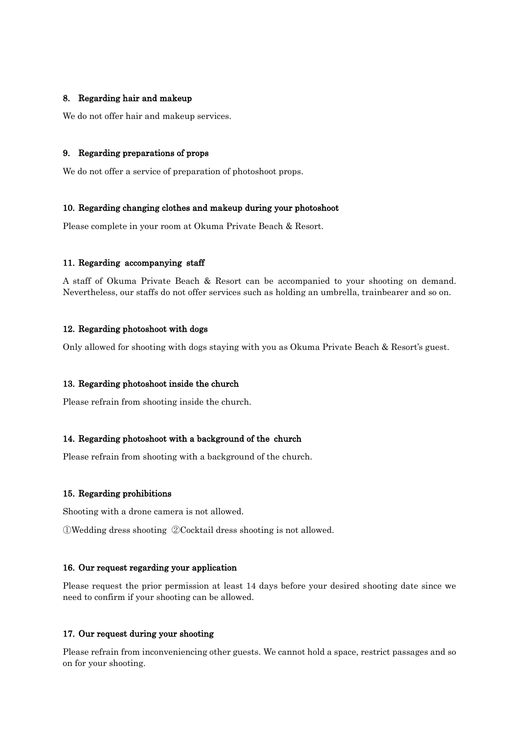# 8. Regarding hair and makeup

We do not offer hair and makeup services.

## 9. Regarding preparations of props

We do not offer a service of preparation of photoshoot props.

### 10. Regarding changing clothes and makeup during your photoshoot

Please complete in your room at Okuma Private Beach & Resort.

### 11. Regarding accompanying staff

A staff of Okuma Private Beach & Resort can be accompanied to your shooting on demand. Nevertheless, our staffs do not offer services such as holding an umbrella, trainbearer and so on.

# 12. Regarding photoshoot with dogs

Only allowed for shooting with dogs staying with you as Okuma Private Beach & Resort's guest.

#### 13. Regarding photoshoot inside the church

Please refrain from shooting inside the church.

#### 14. Regarding photoshoot with a background of the church

Please refrain from shooting with a background of the church.

#### 15. Regarding prohibitions

Shooting with a drone camera is not allowed.

①Wedding dress shooting ②Cocktail dress shooting is not allowed.

#### 16. Our request regarding your application

Please request the prior permission at least 14 days before your desired shooting date since we need to confirm if your shooting can be allowed.

### 17. Our request during your shooting

Please refrain from inconveniencing other guests. We cannot hold a space, restrict passages and so on for your shooting.